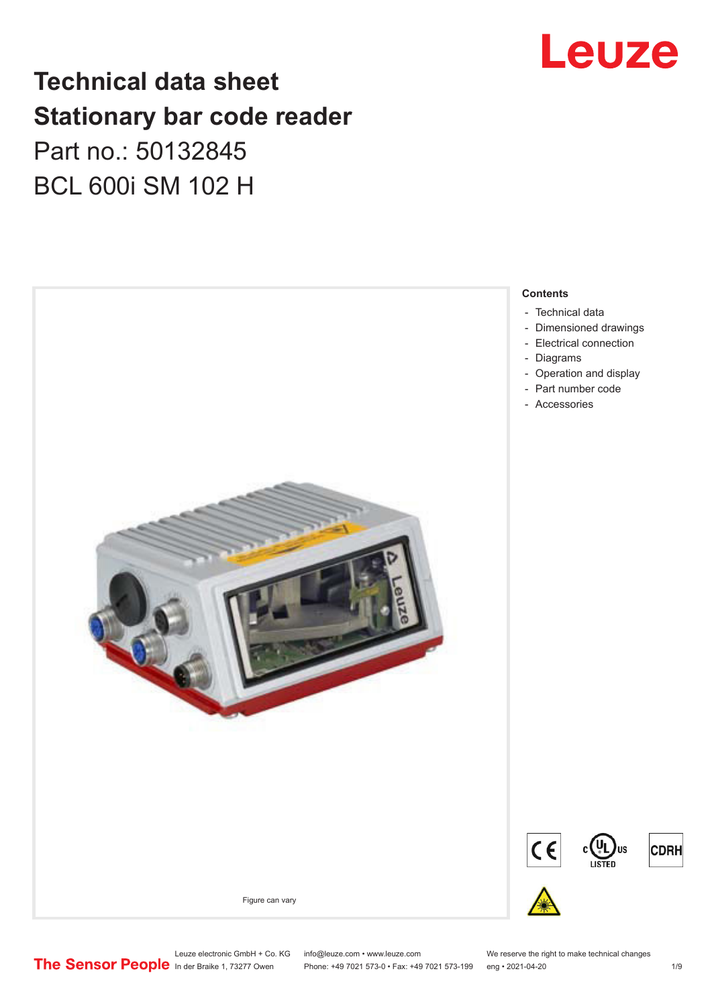## Leuze

## **Technical data sheet Stationary bar code reader** Part no.: 50132845 BCL 600i SM 102 H



Leuze electronic GmbH + Co. KG info@leuze.com • www.leuze.com We reserve the right to make technical changes<br>
The Sensor People in der Braike 1, 73277 Owen Phone: +49 7021 573-0 • Fax: +49 7021 573-199 eng • 2021-04-20

Phone: +49 7021 573-0 • Fax: +49 7021 573-199 eng • 2021-04-20 1 /9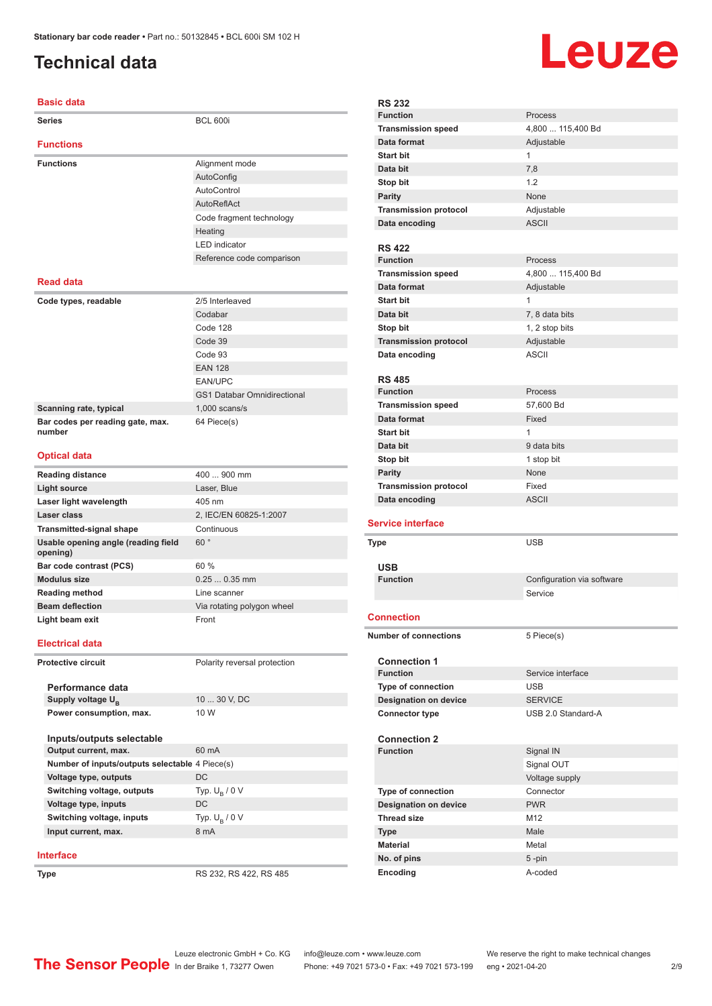## <span id="page-1-0"></span>**Technical data**

#### **Basic data**

| <b>Dasic data</b>                              |                                    |
|------------------------------------------------|------------------------------------|
| <b>Series</b>                                  | <b>BCL 600i</b>                    |
| <b>Functions</b>                               |                                    |
| <b>Functions</b>                               | Alignment mode                     |
|                                                | AutoConfig                         |
|                                                | AutoControl                        |
|                                                |                                    |
|                                                | AutoReflAct                        |
|                                                | Code fragment technology           |
|                                                | Heating                            |
|                                                | <b>LED</b> indicator               |
|                                                | Reference code comparison          |
| <b>Read data</b>                               |                                    |
| Code types, readable                           | 2/5 Interleaved                    |
|                                                | Codabar                            |
|                                                | Code 128                           |
|                                                | Code 39                            |
|                                                | Code 93                            |
|                                                | <b>EAN 128</b>                     |
|                                                | <b>EAN/UPC</b>                     |
|                                                | <b>GS1 Databar Omnidirectional</b> |
|                                                | $1,000$ scans/s                    |
| Scanning rate, typical                         |                                    |
| Bar codes per reading gate, max.<br>number     | 64 Piece(s)                        |
| <b>Optical data</b>                            |                                    |
| <b>Reading distance</b>                        | 400  900 mm                        |
| Light source                                   | Laser, Blue                        |
| Laser light wavelength                         | 405 nm                             |
| Laser class                                    | 2, IEC/EN 60825-1:2007             |
| <b>Transmitted-signal shape</b>                | Continuous                         |
| Usable opening angle (reading field            | 60°                                |
| opening)                                       |                                    |
| Bar code contrast (PCS)                        | 60 %                               |
| <b>Modulus size</b>                            | $0.250.35$ mm                      |
| <b>Reading method</b>                          | Line scanner                       |
| <b>Beam deflection</b>                         | Via rotating polygon wheel         |
| Light beam exit                                | Front                              |
| <b>Electrical data</b>                         |                                    |
| <b>Protective circuit</b>                      | Polarity reversal protection       |
|                                                |                                    |
| Performance data                               |                                    |
| Supply voltage UB                              | 10  30 V, DC                       |
| Power consumption, max.                        | 10 W                               |
| Inputs/outputs selectable                      |                                    |
| Output current, max.                           | 60 mA                              |
| Number of inputs/outputs selectable 4 Piece(s) |                                    |
| Voltage type, outputs                          | DC                                 |
| Switching voltage, outputs                     | Typ. $U_B / 0 V$                   |
| Voltage type, inputs                           | DC                                 |
| Switching voltage, inputs                      | Typ. $U_B / 0 V$                   |
|                                                |                                    |

### **Interface**

**Input current, max.** 

**Type** RS 232, RS 422, RS 485

# **Leuze**

| <b>RS 232</b>                    |                              |                            |
|----------------------------------|------------------------------|----------------------------|
| <b>Function</b>                  |                              | Process                    |
|                                  | <b>Transmission speed</b>    | 4,800  115,400 Bd          |
| Data format                      |                              | Adjustable                 |
| <b>Start bit</b>                 |                              | 1                          |
| Data bit                         |                              | 7,8                        |
| Stop bit                         |                              | 1.2                        |
|                                  |                              | None                       |
| <b>Parity</b>                    |                              |                            |
|                                  | <b>Transmission protocol</b> | Adjustable                 |
| Data encoding                    |                              | <b>ASCII</b>               |
|                                  |                              |                            |
| <b>RS 422</b><br><b>Function</b> |                              | Process                    |
|                                  |                              |                            |
|                                  | <b>Transmission speed</b>    | 4,800  115,400 Bd          |
| Data format                      |                              | Adjustable                 |
| <b>Start bit</b>                 |                              | $\mathbf{1}$               |
| Data bit                         |                              | 7, 8 data bits             |
| Stop bit                         |                              | 1, 2 stop bits             |
|                                  | <b>Transmission protocol</b> | Adjustable                 |
| Data encoding                    |                              | <b>ASCII</b>               |
|                                  |                              |                            |
| <b>RS 485</b>                    |                              |                            |
| <b>Function</b>                  |                              | Process                    |
|                                  | <b>Transmission speed</b>    | 57,600 Bd                  |
| Data format                      |                              | Fixed                      |
| <b>Start bit</b>                 |                              | $\mathbf{1}$               |
| Data bit                         |                              | 9 data bits                |
| Stop bit                         |                              | 1 stop bit                 |
| <b>Parity</b>                    |                              | None                       |
|                                  |                              |                            |
|                                  | <b>Transmission protocol</b> | Fixed                      |
| Data encoding                    |                              | <b>ASCII</b>               |
|                                  |                              |                            |
| <b>Service interface</b>         |                              |                            |
| Type                             |                              | <b>USB</b>                 |
|                                  |                              |                            |
| <b>USB</b>                       |                              |                            |
| <b>Function</b>                  |                              | Configuration via software |
|                                  |                              | Service                    |
|                                  |                              |                            |
| <b>Connection</b>                |                              |                            |
|                                  | <b>Number of connections</b> | 5 Piece(s)                 |
|                                  |                              |                            |
|                                  | <b>Connection 1</b>          |                            |
| <b>Function</b>                  |                              | Service interface          |
|                                  | <b>Type of connection</b>    | <b>USB</b>                 |
|                                  | <b>Designation on device</b> | <b>SERVICE</b>             |
|                                  | <b>Connector type</b>        | USB 2.0 Standard-A         |
|                                  |                              |                            |
|                                  | <b>Connection 2</b>          |                            |
| <b>Function</b>                  |                              | Signal IN                  |
|                                  |                              | Signal OUT                 |
|                                  |                              | Voltage supply             |
|                                  | Type of connection           | Connector                  |
|                                  | <b>Designation on device</b> | <b>PWR</b>                 |
| <b>Thread size</b>               |                              | M12                        |
| <b>Type</b>                      |                              | Male                       |
| <b>Material</b>                  |                              | Metal                      |
| No. of pins                      |                              | 5-pin                      |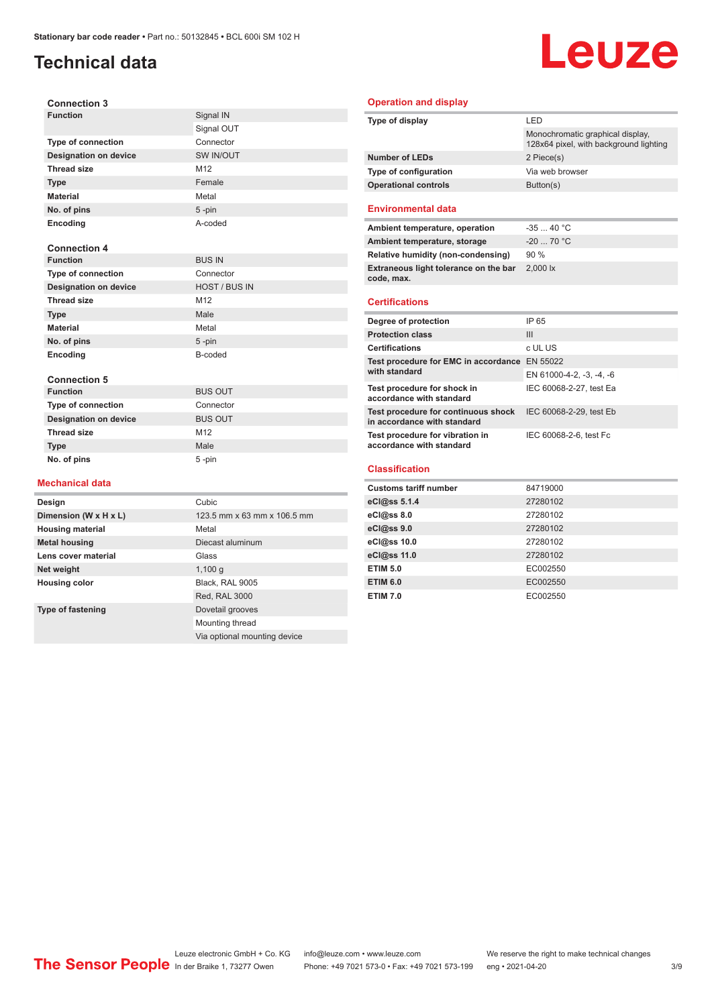## **Technical data**

# Leuze

| <b>Connection 3</b>          |                      |
|------------------------------|----------------------|
| <b>Function</b>              | Signal IN            |
|                              | Signal OUT           |
| <b>Type of connection</b>    | Connector            |
| <b>Designation on device</b> | SW IN/OUT            |
| <b>Thread size</b>           | M <sub>12</sub>      |
| <b>Type</b>                  | Female               |
| <b>Material</b>              | Metal                |
| No. of pins                  | $5 - pin$            |
| Encoding                     | A-coded              |
|                              |                      |
| <b>Connection 4</b>          |                      |
| <b>Function</b>              | <b>BUS IN</b>        |
| <b>Type of connection</b>    | Connector            |
| <b>Designation on device</b> | <b>HOST / BUS IN</b> |
| <b>Thread size</b>           | M <sub>12</sub>      |
| <b>Type</b>                  | Male                 |
| <b>Material</b>              | Metal                |
| No. of pins                  | $5 - pin$            |
| Encoding                     | B-coded              |
|                              |                      |
| <b>Connection 5</b>          |                      |
| <b>Function</b>              | <b>BUS OUT</b>       |
| <b>Type of connection</b>    | Connector            |
| <b>Designation on device</b> | <b>BUS OUT</b>       |
| <b>Thread size</b>           | M <sub>12</sub>      |
| <b>Type</b>                  | Male                 |
| No. of pins                  | 5-pin                |
|                              |                      |
| <b>Mechanical data</b>       |                      |
| Design                       | Cubic                |

**Dimension (W x H x L)** 123.5 mm x 63 mm x 106.5 mm

Red, RAL 3000

Mounting thread

Via optional mounting device

**Housing material** Metal

**Lens cover material Class** Glass **Net weight** 1,100 g **Housing color** Black, RAL 9005

**Metal housing** Diecast aluminum

**Type of fastening** Dovetail grooves

#### **Operation and display**

| Type of display                                                    | LED                                                                        |  |
|--------------------------------------------------------------------|----------------------------------------------------------------------------|--|
|                                                                    | Monochromatic graphical display,<br>128x64 pixel, with background lighting |  |
| <b>Number of LEDs</b>                                              | 2 Piece(s)                                                                 |  |
| Type of configuration                                              | Via web browser                                                            |  |
| <b>Operational controls</b>                                        | Button(s)                                                                  |  |
| <b>Environmental data</b>                                          |                                                                            |  |
| Ambient temperature, operation                                     | $-3540 °C$                                                                 |  |
| Ambient temperature, storage                                       | $-20$ 70 °C                                                                |  |
| Relative humidity (non-condensing)                                 | 90%                                                                        |  |
| Extraneous light tolerance on the bar<br>code, max.                | 2.000 lx                                                                   |  |
|                                                                    |                                                                            |  |
| <b>Certifications</b>                                              |                                                                            |  |
| Degree of protection                                               | IP 65                                                                      |  |
| <b>Protection class</b>                                            | III                                                                        |  |
| <b>Certifications</b>                                              | c UL US                                                                    |  |
| Test procedure for EMC in accordance EN 55022                      |                                                                            |  |
| with standard                                                      | EN 61000-4-2, -3, -4, -6                                                   |  |
| Test procedure for shock in<br>accordance with standard            | IEC 60068-2-27, test Ea                                                    |  |
| Test procedure for continuous shock<br>in accordance with standard | IEC 60068-2-29, test Eb                                                    |  |
| Test procedure for vibration in<br>accordance with standard        | IEC 60068-2-6, test Fc                                                     |  |

#### **Classification**

| <b>Customs tariff number</b> | 84719000 |
|------------------------------|----------|
| eCl@ss 5.1.4                 | 27280102 |
| eCl@ss 8.0                   | 27280102 |
| eCl@ss 9.0                   | 27280102 |
| eCl@ss 10.0                  | 27280102 |
| eCl@ss 11.0                  | 27280102 |
| <b>ETIM 5.0</b>              | EC002550 |
| <b>ETIM 6.0</b>              | EC002550 |
| <b>ETIM 7.0</b>              | EC002550 |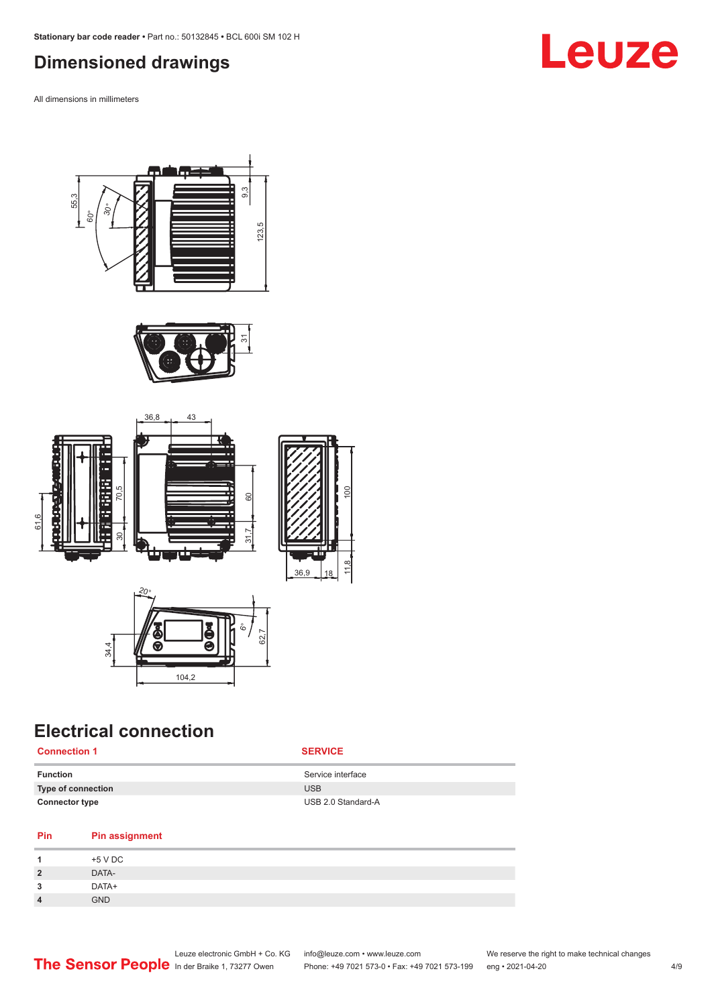## <span id="page-3-0"></span>**Dimensioned drawings**

All dimensions in millimeters











## **Electrical connection**

**Connection 1 SERVICE**

| Function              | Service interface  |
|-----------------------|--------------------|
| Type of connection    | <b>USB</b>         |
| <b>Connector type</b> | USB 2.0 Standard-A |

#### **Pin Pin assignment**

| -1             | +5 V DC    |
|----------------|------------|
| $\overline{2}$ | DATA-      |
| 3              | DATA+      |
| $\overline{4}$ | <b>GND</b> |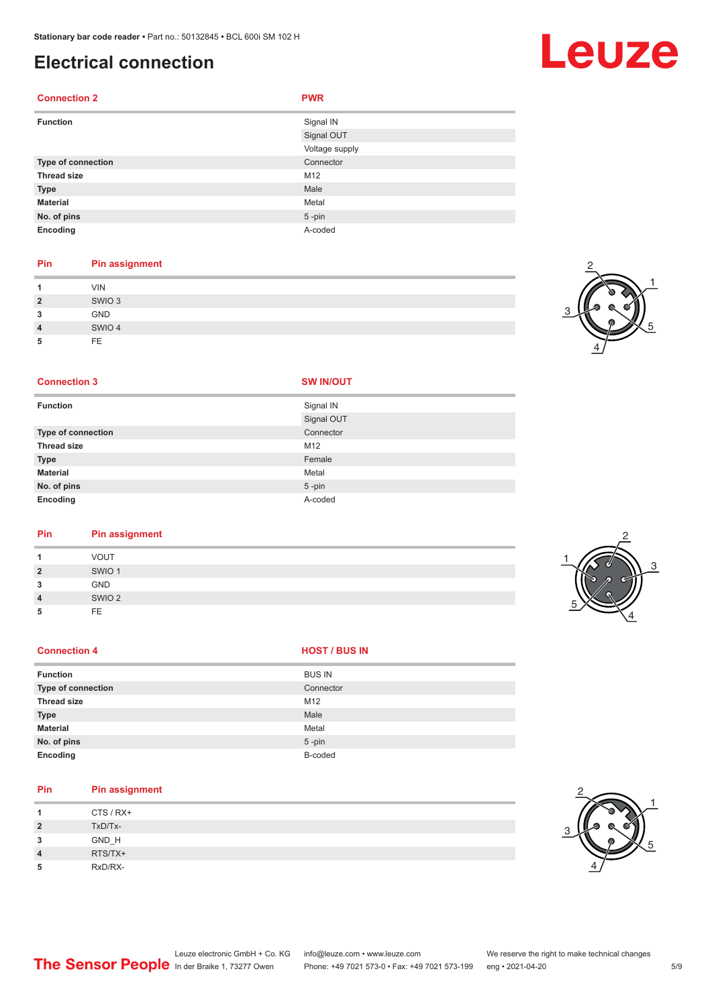**No. of pins** 5 -pin **Encoding** A-coded

## **Electrical connection**

#### **Connection 2 PWR Function** Signal IN Signal OUT Voltage supply **Type of connection** Connection Connector **Thread size** M12 **Type Male Material** Metal

#### **Pin Pin assignment**

| и              | <b>VIN</b>        |
|----------------|-------------------|
| $\overline{2}$ | SWIO <sub>3</sub> |
| 3              | <b>GND</b>        |
| $\overline{4}$ | SWIO 4            |
| 5              | FE                |

#### **Connection 3 SW IN/OUT**

| <b>Function</b>    | Signal IN  |
|--------------------|------------|
|                    | Signal OUT |
| Type of connection | Connector  |
| <b>Thread size</b> | M12        |
| <b>Type</b>        | Female     |
| <b>Material</b>    | Metal      |
| No. of pins        | $5$ -pin   |
| Encoding           | A-coded    |

## **Pin Pin assignment**

| и              | <b>VOUT</b>       |
|----------------|-------------------|
| $\overline{2}$ | SWIO <sub>1</sub> |
| 3              | <b>GND</b>        |
| $\overline{4}$ | SWIO <sub>2</sub> |
| 5              | FE                |
|                |                   |

#### **Connection 4 HOST** / BUS IN

| <b>Function</b>    | <b>BUS IN</b> |
|--------------------|---------------|
| Type of connection | Connector     |
| <b>Thread size</b> | M12           |
| <b>Type</b>        | Male          |
| <b>Material</b>    | Metal         |
| No. of pins        | $5$ -pin      |
| Encoding           | B-coded       |

## **Pin Pin assignment**

|                | CTS / RX+ |
|----------------|-----------|
| $\overline{2}$ | TxD/Tx-   |
| 3              | GND_H     |
| $\overline{4}$ | RTS/TX+   |
| 5              | RxD/RX-   |



#### Leuze electronic GmbH + Co. KG info@leuze.com • www.leuze.com We reserve the right to make technical changes In der Braike 1, 73277 Owen Phone: +49 7021 573-0 • Fax: +49 7021 573-199 eng • 2021-04-20 5/9







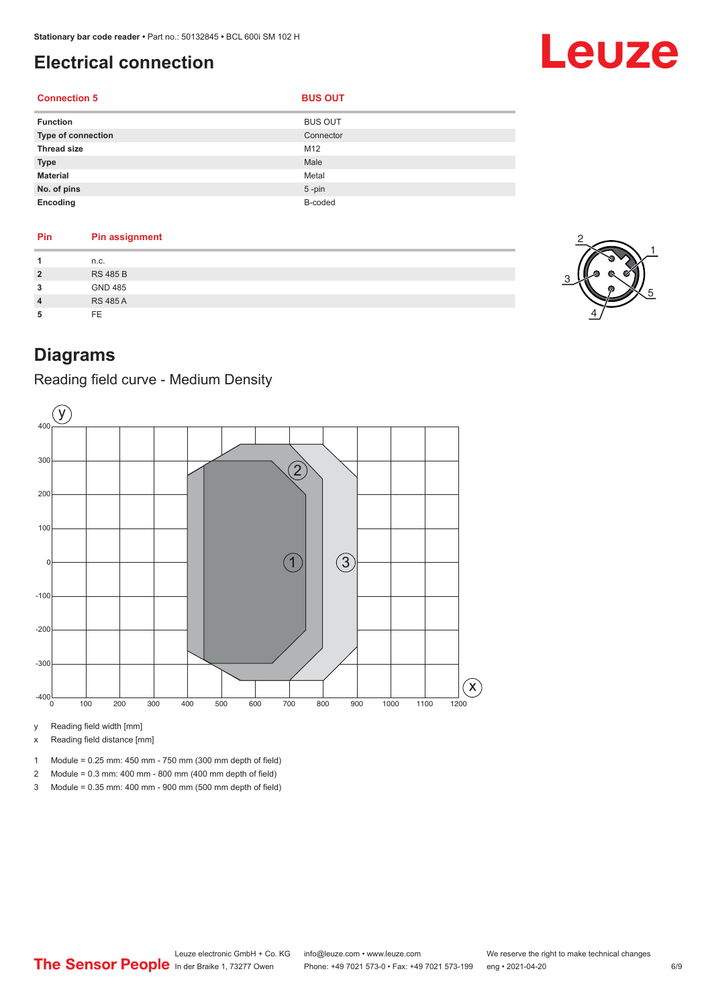## <span id="page-5-0"></span>**Electrical connection**

### **Connection 5**

| <b>Function</b>    | <b>BUS OUT</b> |
|--------------------|----------------|
| Type of connection | Connector      |
| <b>Thread size</b> | M12            |
| <b>Type</b>        | Male           |
| <b>Material</b>    | Metal          |
| No. of pins        | $5$ -pin       |
| Encoding           | B-coded        |

| Pin                     | <b>Pin assignment</b> |
|-------------------------|-----------------------|
| 1                       | n.c.                  |
| $\overline{\mathbf{c}}$ | <b>RS 485 B</b>       |
| 3                       | <b>GND 485</b>        |
| 4                       | <b>RS 485 A</b>       |
| 5                       | FE.                   |



Leuze

## **Diagrams**

Reading field curve - Medium Density



y Reading field width [mm]

x Reading field distance [mm]

- 1 Module = 0.25 mm: 450 mm 750 mm (300 mm depth of field)
- 2 Module = 0.3 mm: 400 mm 800 mm (400 mm depth of field)
- 3 Module = 0.35 mm: 400 mm 900 mm (500 mm depth of field)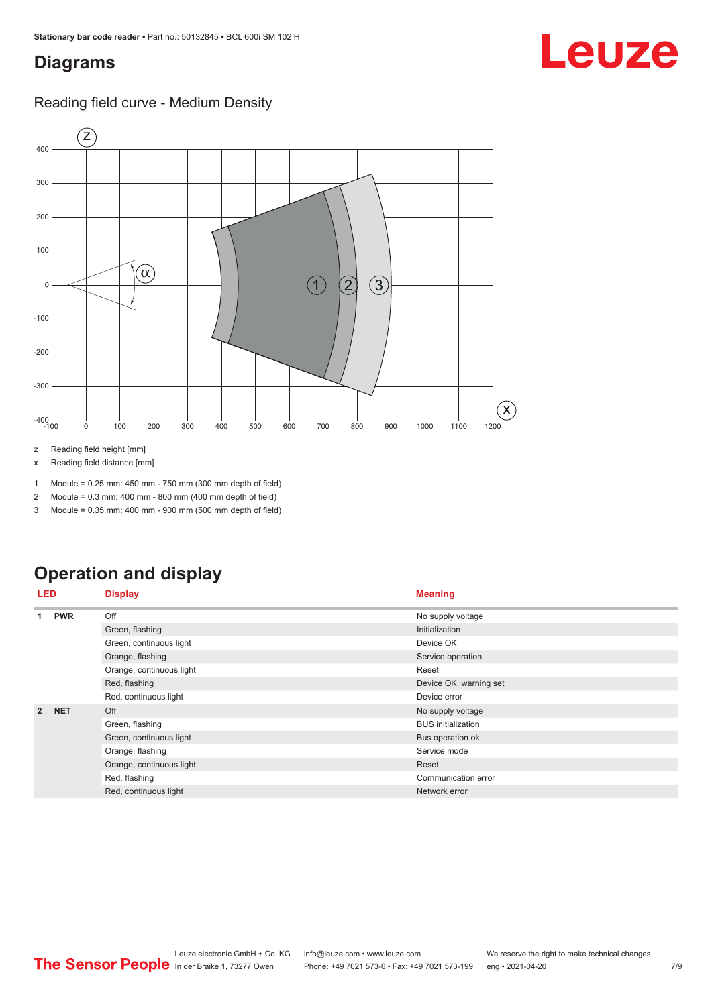## <span id="page-6-0"></span>**Diagrams**

### Reading field curve - Medium Density



z Reading field height [mm]

x Reading field distance [mm]

1 Module = 0.25 mm: 450 mm - 750 mm (300 mm depth of field)

2 Module = 0.3 mm: 400 mm - 800 mm (400 mm depth of field)

3 Module = 0.35 mm: 400 mm - 900 mm (500 mm depth of field)

## **Operation and display**

| <b>LED</b>     |            | <b>Display</b>           | <b>Meaning</b>            |
|----------------|------------|--------------------------|---------------------------|
| 1              | <b>PWR</b> | Off                      | No supply voltage         |
|                |            | Green, flashing          | Initialization            |
|                |            | Green, continuous light  | Device OK                 |
|                |            | Orange, flashing         | Service operation         |
|                |            | Orange, continuous light | Reset                     |
|                |            | Red, flashing            | Device OK, warning set    |
|                |            | Red, continuous light    | Device error              |
| $\overline{2}$ | <b>NET</b> | Off                      | No supply voltage         |
|                |            | Green, flashing          | <b>BUS</b> initialization |
|                |            | Green, continuous light  | Bus operation ok          |
|                |            | Orange, flashing         | Service mode              |
|                |            | Orange, continuous light | Reset                     |
|                |            | Red, flashing            | Communication error       |
|                |            | Red, continuous light    | Network error             |

## Leuze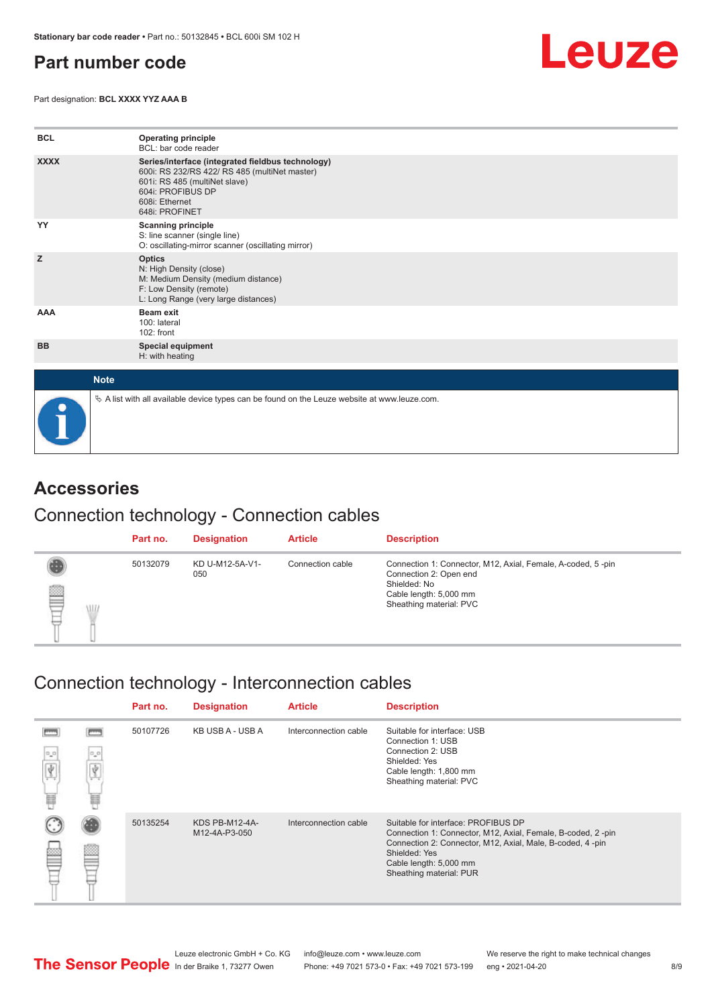## <span id="page-7-0"></span>**Part number code**

Part designation: **BCL XXXX YYZ AAA B**



| <b>BCL</b>  | <b>Operating principle</b><br>BCL: bar code reader                                                                                                                                           |
|-------------|----------------------------------------------------------------------------------------------------------------------------------------------------------------------------------------------|
| <b>XXXX</b> | Series/interface (integrated fieldbus technology)<br>600i: RS 232/RS 422/ RS 485 (multiNet master)<br>601i: RS 485 (multiNet slave)<br>604i: PROFIBUS DP<br>608i: Ethernet<br>648i: PROFINET |
| YY          | <b>Scanning principle</b><br>S: line scanner (single line)<br>O: oscillating-mirror scanner (oscillating mirror)                                                                             |
| z           | <b>Optics</b><br>N: High Density (close)<br>M: Medium Density (medium distance)<br>F: Low Density (remote)<br>L: Long Range (very large distances)                                           |
| <b>AAA</b>  | Beam exit<br>100: lateral<br>102: front                                                                                                                                                      |
| <b>BB</b>   | <b>Special equipment</b><br>H: with heating                                                                                                                                                  |
| <b>Note</b> |                                                                                                                                                                                              |
|             | $\&$ A list with all available device types can be found on the Leuze website at www.leuze.com.                                                                                              |

## **Accessories**

### Connection technology - Connection cables

|   |   | Part no. | <b>Designation</b>     | <b>Article</b>   | <b>Description</b>                                                                                                                                         |
|---|---|----------|------------------------|------------------|------------------------------------------------------------------------------------------------------------------------------------------------------------|
| § | W | 50132079 | KD U-M12-5A-V1-<br>050 | Connection cable | Connection 1: Connector, M12, Axial, Female, A-coded, 5-pin<br>Connection 2: Open end<br>Shielded: No<br>Cable length: 5,000 mm<br>Sheathing material: PVC |

## Connection technology - Interconnection cables

|           |          | Part no. | <b>Designation</b>              | <b>Article</b>        | <b>Description</b>                                                                                                                                                                                                                    |
|-----------|----------|----------|---------------------------------|-----------------------|---------------------------------------------------------------------------------------------------------------------------------------------------------------------------------------------------------------------------------------|
| $^0\pi^0$ | 0,0<br>冨 | 50107726 | KB USB A - USB A                | Interconnection cable | Suitable for interface: USB<br>Connection 1: USB<br>Connection 2: USB<br>Shielded: Yes<br>Cable length: 1,800 mm<br>Sheathing material: PVC                                                                                           |
|           |          | 50135254 | KDS PB-M12-4A-<br>M12-4A-P3-050 | Interconnection cable | Suitable for interface: PROFIBUS DP<br>Connection 1: Connector, M12, Axial, Female, B-coded, 2-pin<br>Connection 2: Connector, M12, Axial, Male, B-coded, 4-pin<br>Shielded: Yes<br>Cable length: 5,000 mm<br>Sheathing material: PUR |